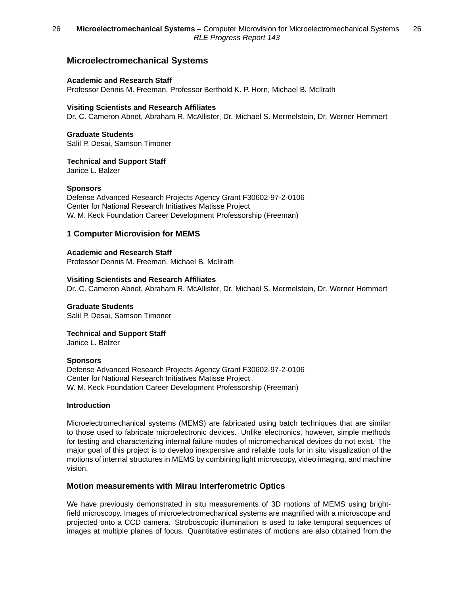## **Microelectromechanical Systems**

#### **Academic and Research Staff**

Professor Dennis M. Freeman, Professor Berthold K. P. Horn, Michael B. McIlrath

#### **Visiting Scientists and Research Affiliates**

Dr. C. Cameron Abnet, Abraham R. McAllister, Dr. Michael S. Mermelstein, Dr. Werner Hemmert

### **Graduate Students**

Salil P. Desai, Samson Timoner

#### **Technical and Support Staff**

Janice L. Balzer

#### **Sponsors**

Defense Advanced Research Projects Agency Grant F30602-97-2-0106 Center for National Research Initiatives Matisse Project W. M. Keck Foundation Career Development Professorship (Freeman)

## **1 Computer Microvision for MEMS**

**Academic and Research Staff** Professor Dennis M. Freeman, Michael B. McIlrath

#### **Visiting Scientists and Research Affiliates**

Dr. C. Cameron Abnet, Abraham R. McAllister, Dr. Michael S. Mermelstein, Dr. Werner Hemmert

# **Graduate Students**

Salil P. Desai, Samson Timoner

### **Technical and Support Staff**

Janice L. Balzer

#### **Sponsors**

Defense Advanced Research Projects Agency Grant F30602-97-2-0106 Center for National Research Initiatives Matisse Project W. M. Keck Foundation Career Development Professorship (Freeman)

#### **Introduction**

Microelectromechanical systems (MEMS) are fabricated using batch techniques that are similar to those used to fabricate microelectronic devices. Unlike electronics, however, simple methods for testing and characterizing internal failure modes of micromechanical devices do not exist. The major goal of this project is to develop inexpensive and reliable tools for in situ visualization of the motions of internal structures in MEMS by combining light microscopy, video imaging, and machine vision.

#### **Motion measurements with Mirau Interferometric Optics**

We have previously demonstrated in situ measurements of 3D motions of MEMS using brightfield microscopy. Images of microelectromechanical systems are magnified with a microscope and projected onto a CCD camera. Stroboscopic illumination is used to take temporal sequences of images at multiple planes of focus. Quantitative estimates of motions are also obtained from the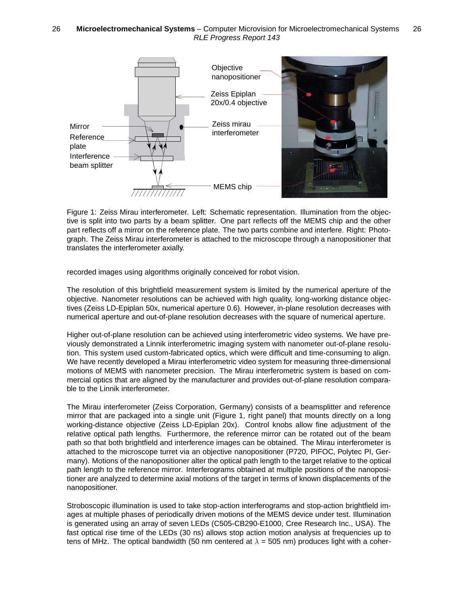

Figure 1: Zeiss Mirau interferometer. Left: Schematic representation. Illumination from the objective is split into two parts by a beam splitter. One part reflects off the MEMS chip and the other part reflects off a mirror on the reference plate. The two parts combine and interfere. Right: Photograph. The Zeiss Mirau interferometer is attached to the microscope through a nanopositioner that translates the interferometer axially.

recorded images using algorithms originally conceived for robot vision.

The resolution of this brightfield measurement system is limited by the numerical aperture of the objective. Nanometer resolutions can be achieved with high quality, long-working distance objectives (Zeiss LD-Epiplan 50x, numerical aperture 0.6). However, in-plane resolution decreases with numerical aperture and out-of-plane resolution decreases with the square of numerical aperture.

Higher out-of-plane resolution can be achieved using interferometric video systems. We have previously demonstrated a Linnik interferometric imaging system with nanometer out-of-plane resolution. This system used custom-fabricated optics, which were difficult and time-consuming to align. We have recently developed a Mirau interferometric video system for measuring three-dimensional motions of MEMS with nanometer precision. The Mirau interferometric system is based on commercial optics that are aligned by the manufacturer and provides out-of-plane resolution comparable to the Linnik interferometer.

The Mirau interferometer (Zeiss Corporation, Germany) consists of a beamsplitter and reference mirror that are packaged into a single unit (Figure 1, right panel) that mounts directly on a long working-distance objective (Zeiss LD-Epiplan 20x). Control knobs allow fine adjustment of the relative optical path lengths. Furthermore, the reference mirror can be rotated out of the beam path so that both brightfield and interference images can be obtained. The Mirau interferometer is attached to the microscope turret via an objective nanopositioner (P720, PIFOC, Polytec PI, Germany). Motions of the nanopositioner alter the optical path length to the target relative to the optical path length to the reference mirror. Interferograms obtained at multiple positions of the nanopositioner are analyzed to determine axial motions of the target in terms of known displacements of the nanopositioner.

Stroboscopic illumination is used to take stop-action interferograms and stop-action brightfield images at multiple phases of periodically driven motions of the MEMS device under test. Illumination is generated using an array of seven LEDs (C505-CB290-E1000, Cree Research Inc., USA). The fast optical rise time of the LEDs (30 ns) allows stop action motion analysis at frequencies up to tens of MHz. The optical bandwidth (50 nm centered at  $\lambda = 505$  nm) produces light with a coher-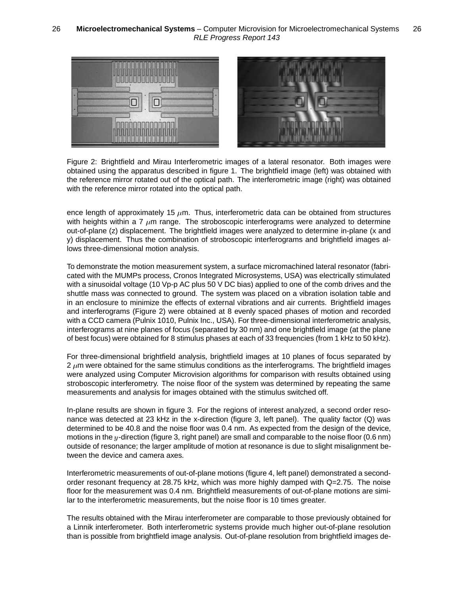

Figure 2: Brightfield and Mirau Interferometric images of a lateral resonator. Both images were obtained using the apparatus described in figure 1. The brightfield image (left) was obtained with the reference mirror rotated out of the optical path. The interferometric image (right) was obtained with the reference mirror rotated into the optical path.

ence length of approximately 15  $\mu$ m. Thus, interferometric data can be obtained from structures with heights within a 7  $\mu$ m range. The stroboscopic interferograms were analyzed to determine out-of-plane (z) displacement. The brightfield images were analyzed to determine in-plane (x and y) displacement. Thus the combination of stroboscopic interferograms and brightfield images allows three-dimensional motion analysis.

To demonstrate the motion measurement system, a surface micromachined lateral resonator (fabricated with the MUMPs process, Cronos Integrated Microsystems, USA) was electrically stimulated with a sinusoidal voltage (10 Vp-p AC plus 50 V DC bias) applied to one of the comb drives and the shuttle mass was connected to ground. The system was placed on a vibration isolation table and in an enclosure to minimize the effects of external vibrations and air currents. Brightfield images and interferograms (Figure 2) were obtained at 8 evenly spaced phases of motion and recorded with a CCD camera (Pulnix 1010, Pulnix Inc., USA). For three-dimensional interferometric analysis, interferograms at nine planes of focus (separated by 30 nm) and one brightfield image (at the plane of best focus) were obtained for 8 stimulus phases at each of 33 frequencies (from 1 kHz to 50 kHz).

For three-dimensional brightfield analysis, brightfield images at 10 planes of focus separated by  $2 \mu m$  were obtained for the same stimulus conditions as the interferograms. The brightfield images were analyzed using Computer Microvision algorithms for comparison with results obtained using stroboscopic interferometry. The noise floor of the system was determined by repeating the same measurements and analysis for images obtained with the stimulus switched off.

In-plane results are shown in figure 3. For the regions of interest analyzed, a second order resonance was detected at 23 kHz in the x-direction (figure 3, left panel). The quality factor (Q) was determined to be 40.8 and the noise floor was 0.4 nm. As expected from the design of the device, motions in the  $y$ -direction (figure 3, right panel) are small and comparable to the noise floor (0.6 nm) outside of resonance; the larger amplitude of motion at resonance is due to slight misalignment between the device and camera axes.

Interferometric measurements of out-of-plane motions (figure 4, left panel) demonstrated a secondorder resonant frequency at 28.75 kHz, which was more highly damped with Q=2.75. The noise floor for the measurement was 0.4 nm. Brightfield measurements of out-of-plane motions are similar to the interferometric measurements, but the noise floor is 10 times greater.

The results obtained with the Mirau interferometer are comparable to those previously obtained for a Linnik interferometer. Both interferometric systems provide much higher out-of-plane resolution than is possible from brightfield image analysis. Out-of-plane resolution from brightfield images de-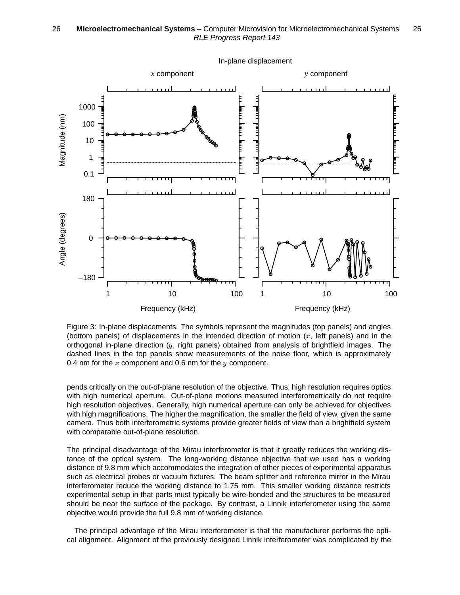

Figure 3: In-plane displacements. The symbols represent the magnitudes (top panels) and angles (bottom panels) of displacements in the intended direction of motion  $(x, \text{ left panels})$  and in the orthogonal in-plane direction  $(y, \text{ right panels})$  obtained from analysis of brightfield images. The dashed lines in the top panels show measurements of the noise floor, which is approximately 0.4 nm for the  $x$  component and 0.6 nm for the  $y$  component.

pends critically on the out-of-plane resolution of the objective. Thus, high resolution requires optics with high numerical aperture. Out-of-plane motions measured interferometrically do not require high resolution objectives. Generally, high numerical aperture can only be achieved for objectives with high magnifications. The higher the magnification, the smaller the field of view, given the same camera. Thus both interferometric systems provide greater fields of view than a brightfield system with comparable out-of-plane resolution.

The principal disadvantage of the Mirau interferometer is that it greatly reduces the working distance of the optical system. The long-working distance objective that we used has a working distance of 9.8 mm which accommodates the integration of other pieces of experimental apparatus such as electrical probes or vacuum fixtures. The beam splitter and reference mirror in the Mirau interferometer reduce the working distance to 1.75 mm. This smaller working distance restricts experimental setup in that parts must typically be wire-bonded and the structures to be measured should be near the surface of the package. By contrast, a Linnik interferometer using the same objective would provide the full 9.8 mm of working distance.

The principal advantage of the Mirau interferometer is that the manufacturer performs the optical alignment. Alignment of the previously designed Linnik interferometer was complicated by the

In-plane displacement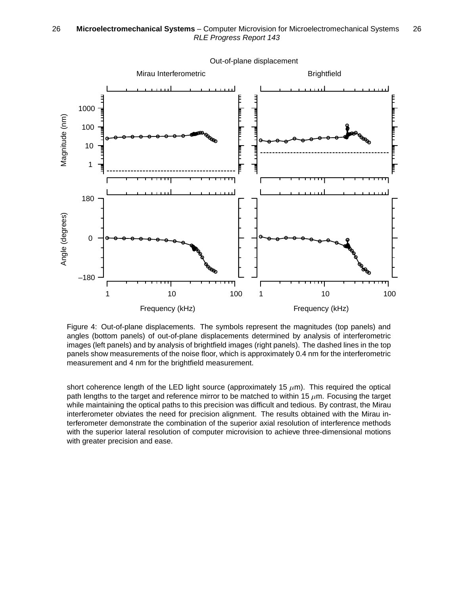

Out-of-plane displacement

Figure 4: Out-of-plane displacements. The symbols represent the magnitudes (top panels) and angles (bottom panels) of out-of-plane displacements determined by analysis of interferometric images (left panels) and by analysis of brightfield images (right panels). The dashed lines in the top panels show measurements of the noise floor, which is approximately 0.4 nm for the interferometric measurement and 4 nm for the brightfield measurement.

short coherence length of the LED light source (approximately 15  $\mu$ m). This required the optical path lengths to the target and reference mirror to be matched to within 15  $\mu$ m. Focusing the target while maintaining the optical paths to this precision was difficult and tedious. By contrast, the Mirau interferometer obviates the need for precision alignment. The results obtained with the Mirau interferometer demonstrate the combination of the superior axial resolution of interference methods with the superior lateral resolution of computer microvision to achieve three-dimensional motions with greater precision and ease.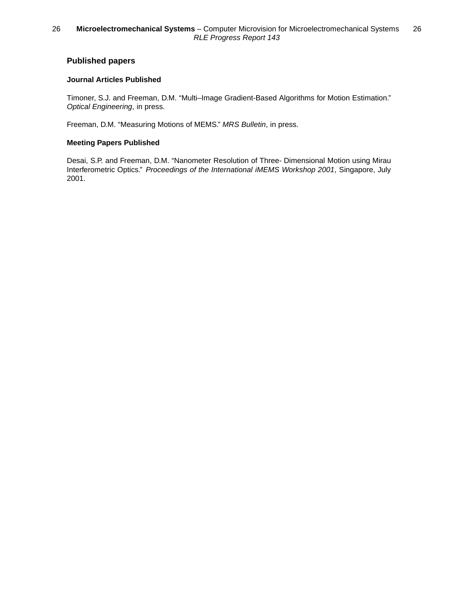## **Published papers**

### **Journal Articles Published**

Timoner, S.J. and Freeman, D.M. "Multi–Image Gradient-Based Algorithms for Motion Estimation." *Optical Engineering*, in press.

Freeman, D.M. "Measuring Motions of MEMS." *MRS Bulletin*, in press.

### **Meeting Papers Published**

Desai, S.P. and Freeman, D.M. "Nanometer Resolution of Three- Dimensional Motion using Mirau Interferometric Optics." *Proceedings of the International iMEMS Workshop 2001*, Singapore, July 2001.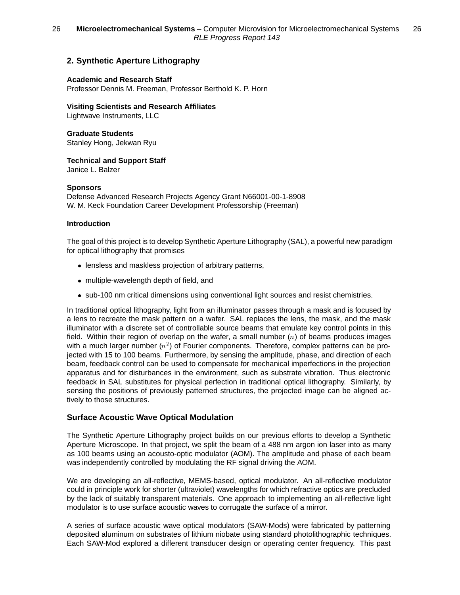## **2. Synthetic Aperture Lithography**

#### **Academic and Research Staff**

Professor Dennis M. Freeman, Professor Berthold K. P. Horn

**Visiting Scientists and Research Affiliates**

Lightwave Instruments, LLC

**Graduate Students** Stanley Hong, Jekwan Ryu

**Technical and Support Staff**

Janice L. Balzer

### **Sponsors**

Defense Advanced Research Projects Agency Grant N66001-00-1-8908 W. M. Keck Foundation Career Development Professorship (Freeman)

### **Introduction**

The goal of this project is to develop Synthetic Aperture Lithography (SAL), a powerful new paradigm for optical lithography that promises

- lensless and maskless projection of arbitrary patterns,
- multiple-wavelength depth of field, and
- sub-100 nm critical dimensions using conventional light sources and resist chemistries.

In traditional optical lithography, light from an illuminator passes through a mask and is focused by a lens to recreate the mask pattern on a wafer. SAL replaces the lens, the mask, and the mask illuminator with a discrete set of controllable source beams that emulate key control points in this field. Within their region of overlap on the wafer, a small number  $(n)$  of beams produces images with a much larger number  $(n^2)$  of Fourier components. Therefore, complex patterns can be projected with 15 to 100 beams. Furthermore, by sensing the amplitude, phase, and direction of each beam, feedback control can be used to compensate for mechanical imperfections in the projection apparatus and for disturbances in the environment, such as substrate vibration. Thus electronic feedback in SAL substitutes for physical perfection in traditional optical lithography. Similarly, by sensing the positions of previously patterned structures, the projected image can be aligned actively to those structures.

## **Surface Acoustic Wave Optical Modulation**

The Synthetic Aperture Lithography project builds on our previous efforts to develop a Synthetic Aperture Microscope. In that project, we split the beam of a 488 nm argon ion laser into as many as 100 beams using an acousto-optic modulator (AOM). The amplitude and phase of each beam was independently controlled by modulating the RF signal driving the AOM.

We are developing an all-reflective, MEMS-based, optical modulator. An all-reflective modulator could in principle work for shorter (ultraviolet) wavelengths for which refractive optics are precluded by the lack of suitably transparent materials. One approach to implementing an all-reflective light modulator is to use surface acoustic waves to corrugate the surface of a mirror.

A series of surface acoustic wave optical modulators (SAW-Mods) were fabricated by patterning deposited aluminum on substrates of lithium niobate using standard photolithographic techniques. Each SAW-Mod explored a different transducer design or operating center frequency. This past